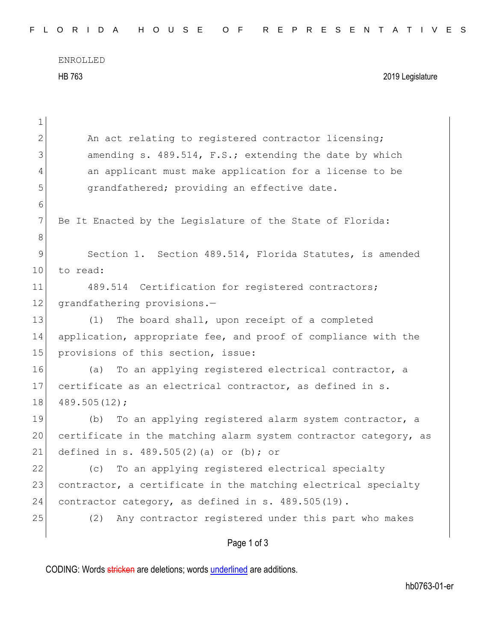ENROLLED HB 763 2019 Legislature

| 1  |                                                                  |
|----|------------------------------------------------------------------|
| 2  | An act relating to registered contractor licensing;              |
| 3  | amending s. 489.514, F.S.; extending the date by which           |
| 4  | an applicant must make application for a license to be           |
| 5  | grandfathered; providing an effective date.                      |
| 6  |                                                                  |
| 7  | Be It Enacted by the Legislature of the State of Florida:        |
| 8  |                                                                  |
| 9  | Section 1. Section 489.514, Florida Statutes, is amended         |
| 10 | to read:                                                         |
| 11 | 489.514 Certification for registered contractors;                |
| 12 | grandfathering provisions.-                                      |
| 13 | The board shall, upon receipt of a completed<br>(1)              |
| 14 | application, appropriate fee, and proof of compliance with the   |
| 15 | provisions of this section, issue:                               |
| 16 | To an applying registered electrical contractor, a<br>(a)        |
| 17 | certificate as an electrical contractor, as defined in s.        |
| 18 | 489.505(12);                                                     |
| 19 | To an applying registered alarm system contractor, a<br>(b)      |
| 20 | certificate in the matching alarm system contractor category, as |
| 21 | defined in s. $489.505(2)$ (a) or (b); or                        |
| 22 | To an applying registered electrical specialty<br>(c)            |
| 23 | contractor, a certificate in the matching electrical specialty   |
| 24 | contractor category, as defined in s. 489.505(19).               |
| 25 | Any contractor registered under this part who makes<br>(2)       |
|    | Page 1 of 3                                                      |

CODING: Words stricken are deletions; words underlined are additions.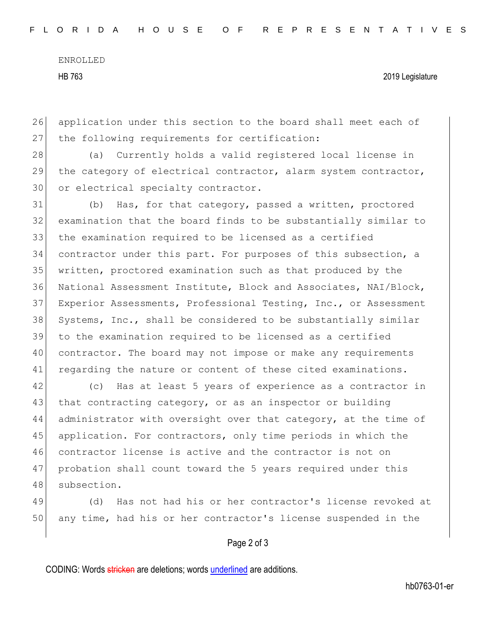ENROLLED

HB 763 2019 Legislature

26 application under this section to the board shall meet each of 27 the following requirements for certification:

28 (a) Currently holds a valid registered local license in 29 the category of electrical contractor, alarm system contractor, 30 or electrical specialty contractor.

 (b) Has, for that category, passed a written, proctored examination that the board finds to be substantially similar to the examination required to be licensed as a certified contractor under this part. For purposes of this subsection, a written, proctored examination such as that produced by the National Assessment Institute, Block and Associates, NAI/Block, Experior Assessments, Professional Testing, Inc., or Assessment 38 Systems, Inc., shall be considered to be substantially similar to the examination required to be licensed as a certified contractor. The board may not impose or make any requirements 41 regarding the nature or content of these cited examinations.

42 (c) Has at least 5 years of experience as a contractor in 43 that contracting category, or as an inspector or building 44 administrator with oversight over that category, at the time of 45 application. For contractors, only time periods in which the 46 contractor license is active and the contractor is not on 47 | probation shall count toward the 5 years required under this 48 subsection.

49 (d) Has not had his or her contractor's license revoked at 50 any time, had his or her contractor's license suspended in the

## Page 2 of 3

CODING: Words stricken are deletions; words underlined are additions.